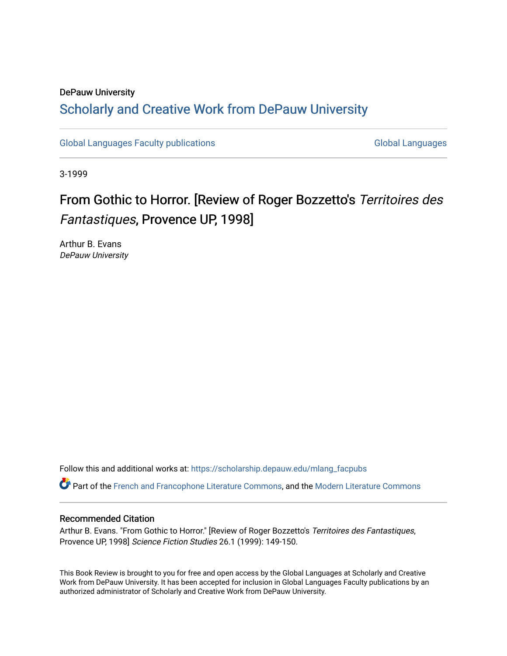## DePauw University Scholarly and [Creative Work from DePauw Univ](https://scholarship.depauw.edu/)ersity

[Global Languages Faculty publications](https://scholarship.depauw.edu/mlang_facpubs) [Global Languages](https://scholarship.depauw.edu/modernlanguages) Global Languages

3-1999

## From Gothic to Horror. [Review of Roger Bozzetto's Territoires des Fantastiques, Provence UP, 1998]

Arthur B. Evans DePauw University

Follow this and additional works at: [https://scholarship.depauw.edu/mlang\\_facpubs](https://scholarship.depauw.edu/mlang_facpubs?utm_source=scholarship.depauw.edu%2Fmlang_facpubs%2F52&utm_medium=PDF&utm_campaign=PDFCoverPages)

Part of the [French and Francophone Literature Commons,](https://network.bepress.com/hgg/discipline/465?utm_source=scholarship.depauw.edu%2Fmlang_facpubs%2F52&utm_medium=PDF&utm_campaign=PDFCoverPages) and the [Modern Literature Commons](https://network.bepress.com/hgg/discipline/1050?utm_source=scholarship.depauw.edu%2Fmlang_facpubs%2F52&utm_medium=PDF&utm_campaign=PDFCoverPages)

## Recommended Citation

Arthur B. Evans. "From Gothic to Horror." [Review of Roger Bozzetto's Territoires des Fantastiques, Provence UP, 1998] Science Fiction Studies 26.1 (1999): 149-150.

This Book Review is brought to you for free and open access by the Global Languages at Scholarly and Creative Work from DePauw University. It has been accepted for inclusion in Global Languages Faculty publications by an authorized administrator of Scholarly and Creative Work from DePauw University.